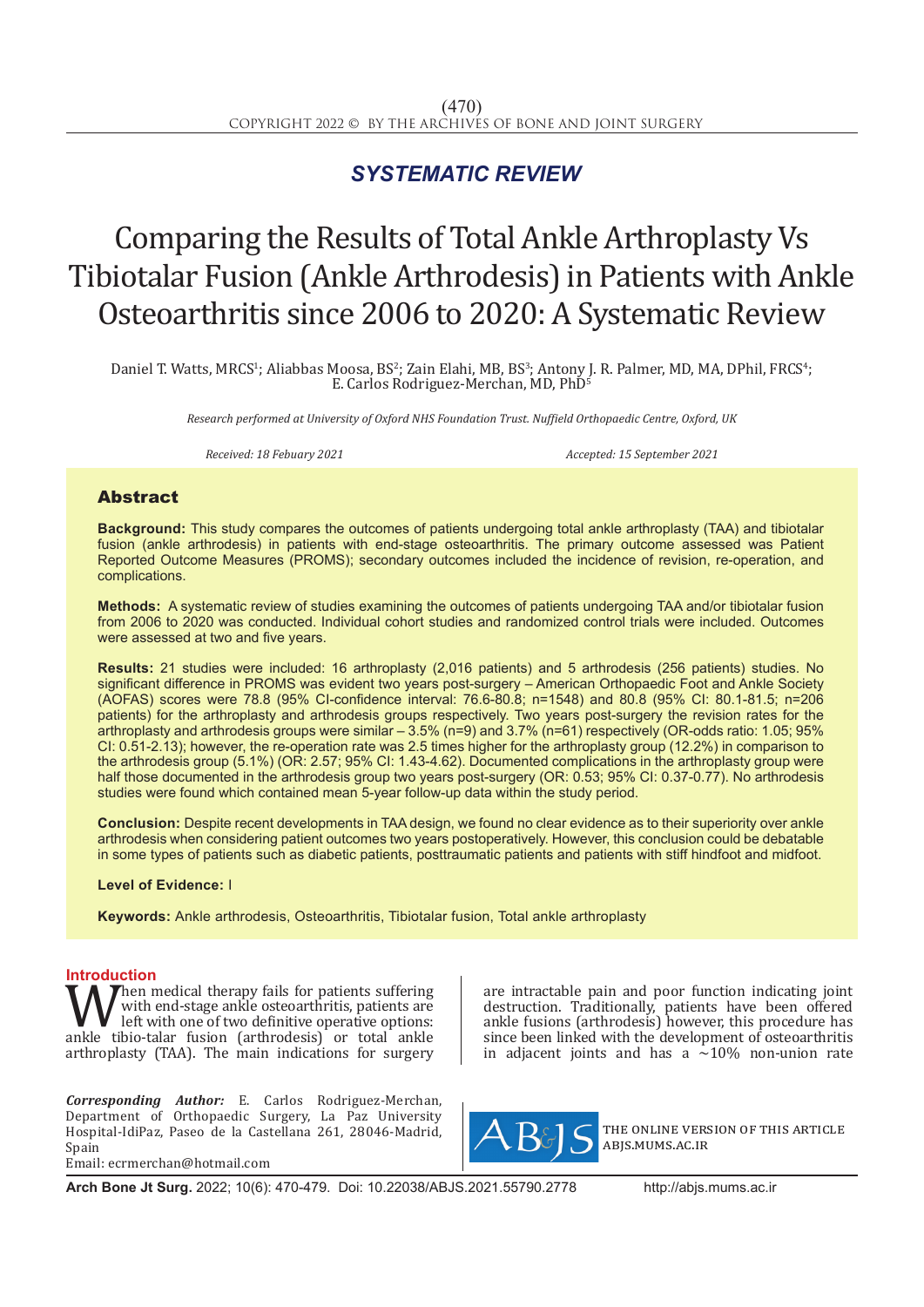## *SYSTEMATIC REVIEW*

# Comparing the Results of Total Ankle Arthroplasty Vs Tibiotalar Fusion (Ankle Arthrodesis) in Patients with Ankle Osteoarthritis since 2006 to 2020: A Systematic Review

Daniel T. Watts, MRCS1; Aliabbas Moosa, BS2; Zain Elahi, MB, BS3; Antony J. R. Palmer, MD, MA, DPhil, FRCS4; E. Carlos Rodriguez-Merchan, MD, PhD<sup>5</sup>

*Research performed at University of Oxford NHS Foundation Trust. Nuffield Orthopaedic Centre, Oxford, UK*

*Received: 18 Febuary 2021 Accepted: 15 September 2021*

### Abstract

**Background:** This study compares the outcomes of patients undergoing total ankle arthroplasty (TAA) and tibiotalar fusion (ankle arthrodesis) in patients with end-stage osteoarthritis. The primary outcome assessed was Patient Reported Outcome Measures (PROMS); secondary outcomes included the incidence of revision, re-operation, and complications.

**Methods:** A systematic review of studies examining the outcomes of patients undergoing TAA and/or tibiotalar fusion from 2006 to 2020 was conducted. Individual cohort studies and randomized control trials were included. Outcomes were assessed at two and five years.

**Results:** 21 studies were included: 16 arthroplasty (2,016 patients) and 5 arthrodesis (256 patients) studies. No significant difference in PROMS was evident two years post-surgery – American Orthopaedic Foot and Ankle Society (AOFAS) scores were 78.8 (95% CI-confidence interval: 76.6-80.8; n=1548) and 80.8 (95% CI: 80.1-81.5; n=206 patients) for the arthroplasty and arthrodesis groups respectively. Two years post-surgery the revision rates for the arthroplasty and arthrodesis groups were similar – 3.5% (n=9) and 3.7% (n=61) respectively (OR-odds ratio: 1.05; 95% CI: 0.51-2.13); however, the re-operation rate was 2.5 times higher for the arthroplasty group (12.2%) in comparison to the arthrodesis group (5.1%) (OR: 2.57; 95% CI: 1.43-4.62). Documented complications in the arthroplasty group were half those documented in the arthrodesis group two years post-surgery (OR: 0.53; 95% CI: 0.37-0.77). No arthrodesis studies were found which contained mean 5-year follow-up data within the study period.

**Conclusion:** Despite recent developments in TAA design, we found no clear evidence as to their superiority over ankle arthrodesis when considering patient outcomes two years postoperatively. However, this conclusion could be debatable in some types of patients such as diabetic patients, posttraumatic patients and patients with stiff hindfoot and midfoot.

#### **Level of Evidence:** I

**Keywords:** Ankle arthrodesis, Osteoarthritis, Tibiotalar fusion, Total ankle arthroplasty

**Introduction**<br>**T A** *T*hen medical therapy fails for patients suffering When medical therapy fails for patients suffering<br>
left with one of two definitive operative options:<br>
ankle tibio-talar fusion (arthrodesis) or total ankle<br>
arthronlasty (TAA) The main indications for surgery with end-stage ankle osteoarthritis, patients are left with one of two definitive operative options: arthroplasty (TAA). The main indications for surgery

*Corresponding Author:* E. Carlos Rodriguez-Merchan, Department of Orthopaedic Surgery, La Paz University Hospital-IdiPaz, Paseo de la Castellana 261, 28046-Madrid, Spain Email: ecrmerchan@hotmail.com

are intractable pain and poor function indicating joint destruction. Traditionally, patients have been offered ankle fusions (arthrodesis) however, this procedure has since been linked with the development of osteoarthritis in adjacent joints and has a  $\sim$ 10% non-union rate



the online version of this article abjs.mums.ac.ir

**Arch Bone Jt Surg.** 2022; 10(6): 470-479. Doi: 10.22038/ABJS.2021.55790.2778 http://abjs.mums.ac.ir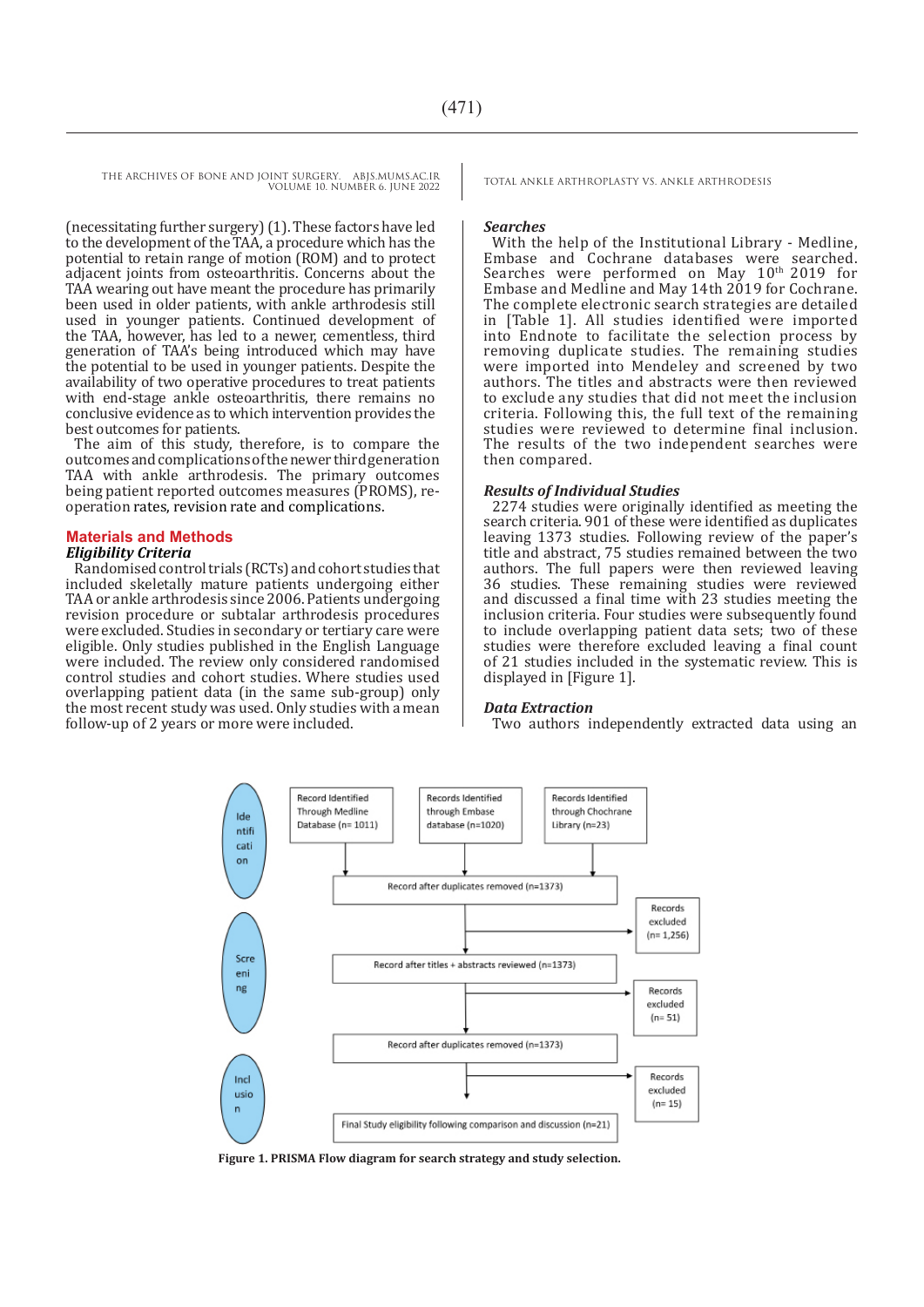(necessitating further surgery) (1). These factors have led to the development of the TAA, a procedure which has the potential to retain range of motion (ROM) and to protect adjacent joints from osteoarthritis. Concerns about the TAA wearing out have meant the procedure has primarily been used in older patients, with ankle arthrodesis still used in younger patients. Continued development of the TAA, however, has led to a newer, cementless, third generation of TAA's being introduced which may have the potential to be used in younger patients. Despite the availability of two operative procedures to treat patients with end-stage ankle osteoarthritis, there remains no conclusive evidence as to which intervention provides the best outcomes for patients.

The aim of this study, therefore, is to compare the outcomes and complications of the newer third generation TAA with ankle arthrodesis. The primary outcomes being patient reported outcomes measures (PROMS), reoperation rates, revision rate and complications.

#### **Materials and Methods**

#### *Eligibility Criteria*

Randomised control trials (RCTs) and cohort studies that included skeletally mature patients undergoing either TAA or ankle arthrodesis since 2006. Patients undergoing revision procedure or subtalar arthrodesis procedures were excluded. Studies in secondary or tertiary care were eligible. Only studies published in the English Language were included. The review only considered randomised control studies and cohort studies. Where studies used overlapping patient data (in the same sub-group) only the most recent study was used. Only studies with a mean follow-up of 2 years or more were included.

#### *Searches*

With the help of the Institutional Library - Medline, Embase and Cochrane databases were searched. Searches were performed on May 10<sup>th</sup> 2019 for Embase and Medline and May 14th 2019 for Cochrane. The complete electronic search strategies are detailed in [Table 1]. All studies identified were imported into Endnote to facilitate the selection process by removing duplicate studies. The remaining studies were imported into Mendeley and screened by two authors. The titles and abstracts were then reviewed to exclude any studies that did not meet the inclusion criteria. Following this, the full text of the remaining studies were reviewed to determine final inclusion. The results of the two independent searches were then compared.

#### *Results of Individual Studies*

2274 studies were originally identified as meeting the search criteria. 901 of these were identified as duplicates leaving 1373 studies. Following review of the paper's title and abstract, 75 studies remained between the two authors. The full papers were then reviewed leaving 36 studies. These remaining studies were reviewed and discussed a final time with 23 studies meeting the inclusion criteria. Four studies were subsequently found to include overlapping patient data sets; two of these studies were therefore excluded leaving a final count of 21 studies included in the systematic review. This is displayed in [Figure 1].

#### *Data Extraction*

Two authors independently extracted data using an



**Figure 1. PRISMA Flow diagram for search strategy and study selection.**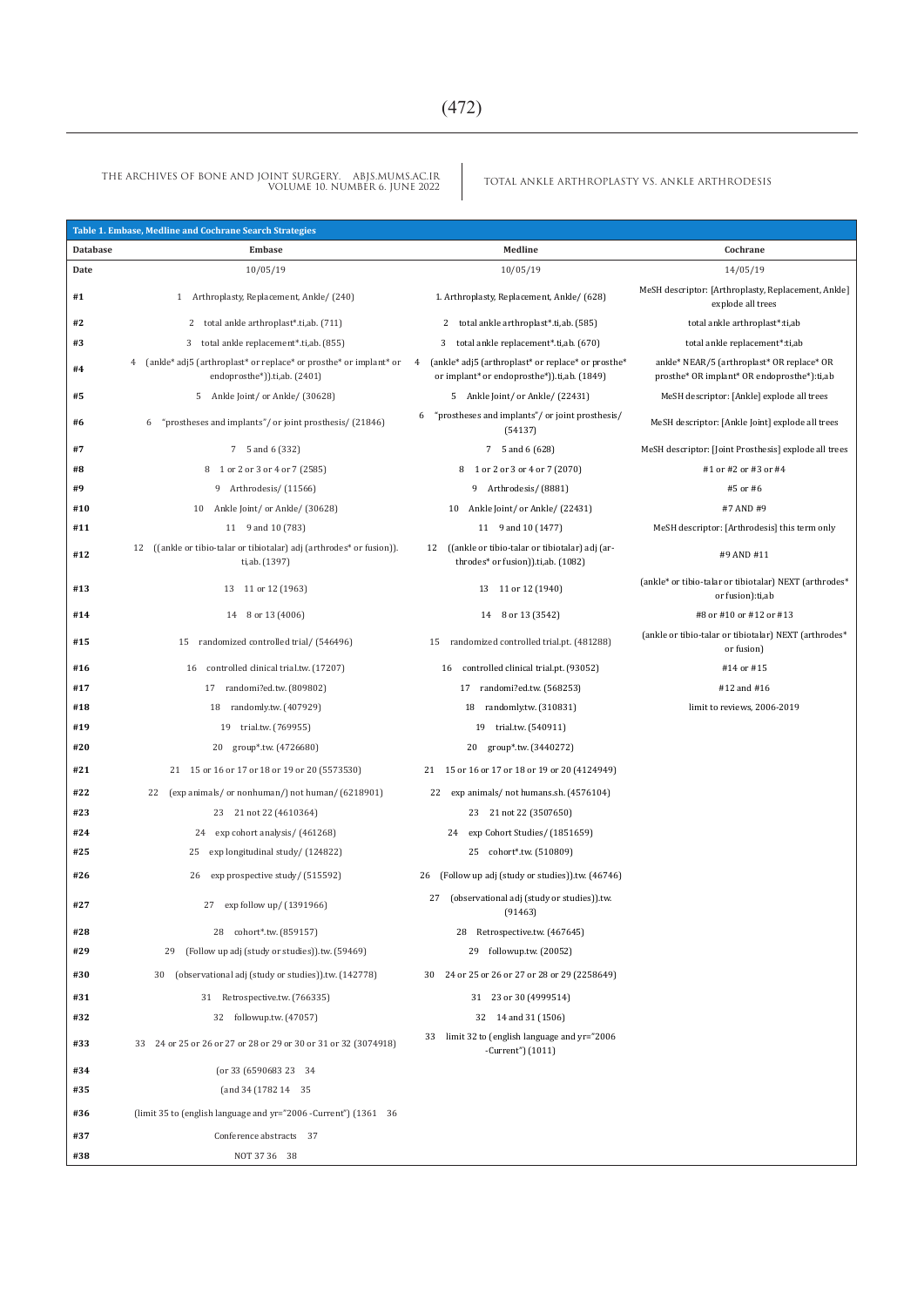TOTAL ANKLE ARTHROPLASTY VS. ANKLE ARTHRODESIS THE ARCHIVES OF BONE AND JOINT SURGERY. ABJS.MUMS.AC.IR VOLUME 10. NUMBER 6. JUNE 2022

|                 | Table 1. Embase, Medline and Cochrane Search Strategies                                                |                                                                                                        |                                                                                           |
|-----------------|--------------------------------------------------------------------------------------------------------|--------------------------------------------------------------------------------------------------------|-------------------------------------------------------------------------------------------|
| <b>Database</b> | Embase                                                                                                 | Medline                                                                                                | Cochrane                                                                                  |
| Date            | 10/05/19                                                                                               | 10/05/19                                                                                               | 14/05/19                                                                                  |
| #1              | 1 Arthroplasty, Replacement, Ankle/ (240)                                                              | 1. Arthroplasty, Replacement, Ankle/ (628)                                                             | MeSH descriptor: [Arthroplasty, Replacement, Ankle]<br>explode all trees                  |
| #2              | total ankle arthroplast*.ti,ab. (711)<br>2                                                             | total ankle arthroplast*.ti,ab. (585)<br>2                                                             | total ankle arthroplast*:ti,ab                                                            |
| #3              | total ankle replacement*.ti,ab. (855)<br>3                                                             | total ankle replacement*.ti,ab. (670)<br>3                                                             | total ankle replacement*:ti,ab                                                            |
| #4              | (ankle* adj5 (arthroplast* or replace* or prosthe* or implant* or<br>4<br>endoprosthe*)).ti,ab. (2401) | (ankle* adj5 (arthroplast* or replace* or prosthe*<br>4<br>or implant* or endoprosthe*)).ti,ab. (1849) | ankle* NEAR/5 (arthroplast* OR replace* OR<br>prosthe* OR implant* OR endoprosthe*):ti,ab |
| #5              | 5 Ankle Joint/ or Ankle/ (30628)                                                                       | 5 Ankle Joint/ or Ankle/ (22431)                                                                       | MeSH descriptor: [Ankle] explode all trees                                                |
| #6              | "prostheses and implants"/or joint prosthesis/ (21846)<br>6                                            | "prostheses and implants"/or joint prosthesis/<br>6<br>(54137)                                         | MeSH descriptor: [Ankle Joint] explode all trees                                          |
| #7              | 7 5 and 6 (332)                                                                                        | 7 5 and 6 (628)                                                                                        | MeSH descriptor: [Joint Prosthesis] explode all trees                                     |
| #8              | 8 1 or 2 or 3 or 4 or 7 (2585)                                                                         | 8 1 or 2 or 3 or 4 or 7 (2070)                                                                         | #1 or #2 or #3 or #4                                                                      |
| #9              | 9 Arthrodesis/ (11566)                                                                                 | 9 Arthrodesis/ (8881)                                                                                  | #5 or #6                                                                                  |
| #10             | 10 Ankle Joint/ or Ankle/ (30628)                                                                      | 10 Ankle Joint/ or Ankle/ (22431)                                                                      | #7 AND #9                                                                                 |
| #11             | 11 9 and 10 (783)                                                                                      | 11 9 and 10 (1477)                                                                                     | MeSH descriptor: [Arthrodesis] this term only                                             |
| #12             | 12 ((ankle or tibio-talar or tibiotalar) adj (arthrodes* or fusion)).<br>ti,ab. (1397)                 | ((ankle or tibio-talar or tibiotalar) adj (ar-<br>12<br>throdes* or fusion)).ti,ab. (1082)             | #9 AND #11                                                                                |
| #13             | 13 11 or 12 (1963)                                                                                     | 13 11 or 12 (1940)                                                                                     | (ankle* or tibio-talar or tibiotalar) NEXT (arthrodes*<br>or fusion):ti,ab                |
| #14             | 8 or 13 (4006)<br>14                                                                                   | 8 or 13 (3542)<br>14                                                                                   | #8 or #10 or #12 or #13                                                                   |
| #15             | randomized controlled trial/ (546496)<br>15                                                            | randomized controlled trial.pt. (481288)<br>15                                                         | (ankle or tibio-talar or tibiotalar) NEXT (arthrodes*<br>or fusion)                       |
| #16             | controlled clinical trial.tw. (17207)<br>16                                                            | controlled clinical trial.pt. (93052)<br>16                                                            | #14 or #15                                                                                |
| #17             | 17 randomi?ed.tw. (809802)                                                                             | 17 randomi?ed.tw. (568253)                                                                             | #12 and #16                                                                               |
| #18             | randomly.tw. (407929)<br>18                                                                            | 18 randomly.tw. (310831)                                                                               | limit to reviews, 2006-2019                                                               |
| #19             | 19<br>trial.tw. (769955)                                                                               | 19<br>trial.tw. (540911)                                                                               |                                                                                           |
| #20             | group*.tw. (4726680)<br>20                                                                             | group*.tw. (3440272)<br>20                                                                             |                                                                                           |
| #21             | 21 15 or 16 or 17 or 18 or 19 or 20 (5573530)                                                          | 21 15 or 16 or 17 or 18 or 19 or 20 (4124949)                                                          |                                                                                           |
| #22             | 22 (exp animals/ or nonhuman/) not human/ (6218901)                                                    | 22 exp animals/ not humans.sh. (4576104)                                                               |                                                                                           |
| #23             | 23 21 not 22 (4610364)                                                                                 | 23 21 not 22 (3507650)                                                                                 |                                                                                           |
| #24             | exp cohort analysis/ (461268)<br>24                                                                    | 24 exp Cohort Studies/ (1851659)                                                                       |                                                                                           |
| #25             | exp longitudinal study / (124822)<br>25                                                                | 25 cohort*.tw. (510809)                                                                                |                                                                                           |
| #26             | exp prospective study/ (515592)<br>26                                                                  | (Follow up adj (study or studies)).tw. (46746)<br>26                                                   |                                                                                           |
| #27             | exp follow up/ (1391966)<br>27                                                                         | (observational adj (study or studies)).tw.<br>27<br>(91463)                                            |                                                                                           |
| #28             | 28<br>cohort*.tw. (859157)                                                                             | Retrospective.tw. (467645)<br>28                                                                       |                                                                                           |
| #29             | 29<br>(Follow up adj (study or studies)).tw. (59469)                                                   | followup.tw. (20052)<br>29                                                                             |                                                                                           |
| #30             | (observational adj (study or studies)).tw. (142778)<br>30                                              | 30 24 or 25 or 26 or 27 or 28 or 29 (2258649)                                                          |                                                                                           |
| #31             | 31 Retrospective.tw. (766335)                                                                          | 31 23 or 30 (4999514)                                                                                  |                                                                                           |
| #32             | 32 followup.tw. (47057)                                                                                | 32 14 and 31 (1506)                                                                                    |                                                                                           |
| #33             | 33 24 or 25 or 26 or 27 or 28 or 29 or 30 or 31 or 32 (3074918)                                        | 33 limit 32 to (english language and yr="2006<br>-Current") (1011)                                     |                                                                                           |
| #34             | (or 33 (6590683 23 34)                                                                                 |                                                                                                        |                                                                                           |
| #35             | (and 34 (1782 14 35)                                                                                   |                                                                                                        |                                                                                           |
| #36             | (limit 35 to (english language and yr="2006 -Current") (1361 36                                        |                                                                                                        |                                                                                           |
| #37             | Conference abstracts 37                                                                                |                                                                                                        |                                                                                           |
| #38             | NOT 37 36 38                                                                                           |                                                                                                        |                                                                                           |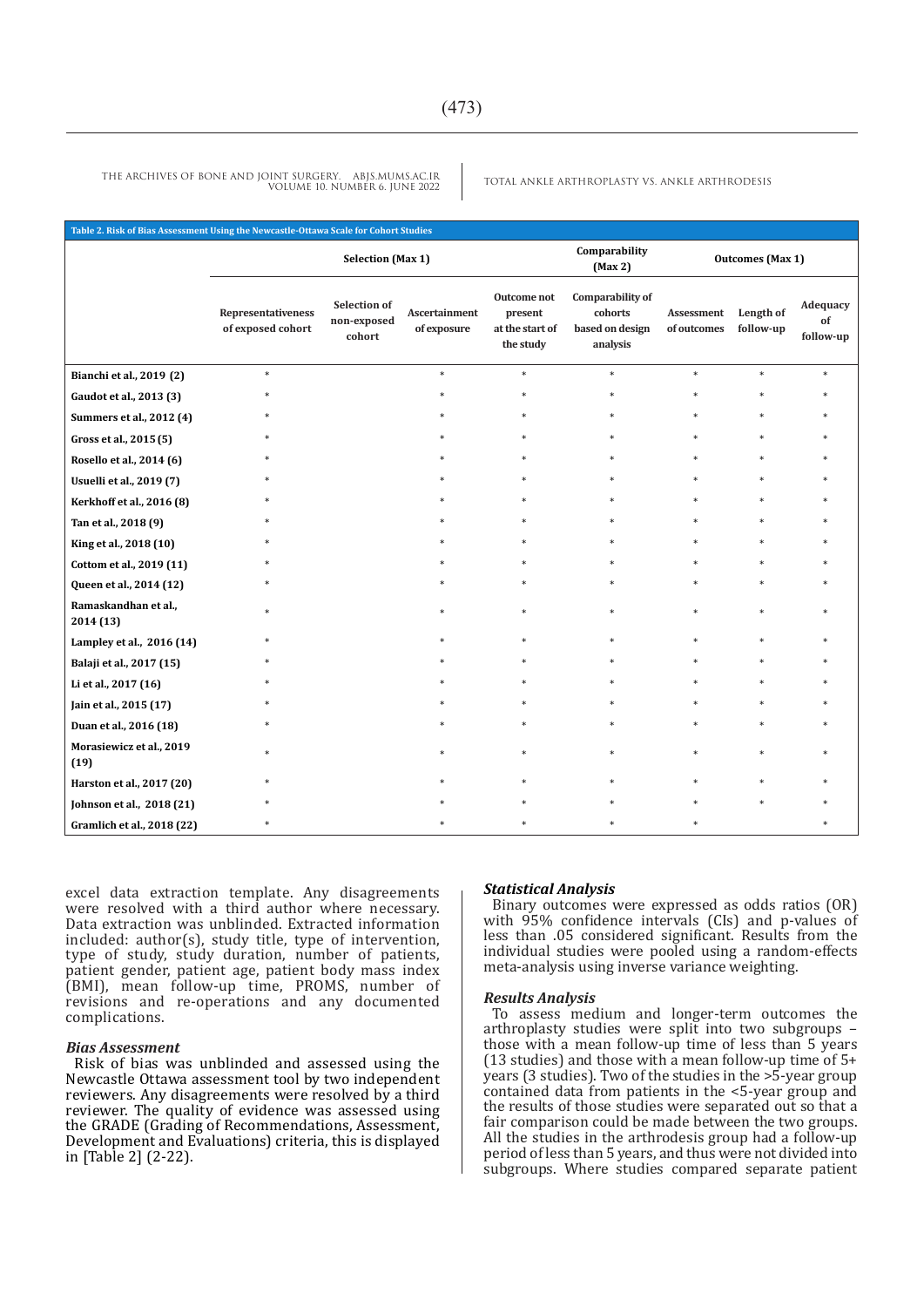| Table 2. Risk of Bias Assessment Using the Newcastle-Ottawa Scale for Cohort Studies |                                         |                                       |                              |                                                        |                                                            |                           |                        |                             |
|--------------------------------------------------------------------------------------|-----------------------------------------|---------------------------------------|------------------------------|--------------------------------------------------------|------------------------------------------------------------|---------------------------|------------------------|-----------------------------|
|                                                                                      | <b>Selection (Max 1)</b>                |                                       |                              |                                                        | Comparability<br>(Max2)                                    | <b>Outcomes</b> (Max 1)   |                        |                             |
|                                                                                      | Representativeness<br>of exposed cohort | Selection of<br>non-exposed<br>cohort | Ascertainment<br>of exposure | Outcome not<br>present<br>at the start of<br>the study | Comparability of<br>cohorts<br>based on design<br>analysis | Assessment<br>of outcomes | Length of<br>follow-up | Adequacy<br>of<br>follow-up |
| Bianchi et al., 2019 (2)                                                             | *                                       |                                       | $\ast$                       | $\ast$                                                 | $\ast$                                                     | *                         | $\ast$                 |                             |
| Gaudot et al., 2013 (3)                                                              |                                         |                                       |                              |                                                        |                                                            |                           |                        |                             |
| Summers et al., 2012 (4)                                                             |                                         |                                       |                              |                                                        |                                                            |                           |                        |                             |
| Gross et al., 2015 (5)                                                               |                                         |                                       |                              |                                                        |                                                            |                           |                        |                             |
| Rosello et al., 2014 (6)                                                             |                                         |                                       |                              |                                                        |                                                            |                           |                        |                             |
| Usuelli et al., 2019 (7)                                                             |                                         |                                       |                              |                                                        |                                                            |                           |                        |                             |
| Kerkhoff et al., 2016 (8)                                                            |                                         |                                       |                              |                                                        |                                                            |                           |                        |                             |
| Tan et al., 2018 (9)                                                                 |                                         |                                       |                              |                                                        |                                                            | *.                        |                        |                             |
| King et al., 2018 (10)                                                               |                                         |                                       |                              |                                                        |                                                            |                           |                        |                             |
| Cottom et al., 2019 (11)                                                             |                                         |                                       |                              |                                                        |                                                            |                           |                        |                             |
| Queen et al., 2014 (12)                                                              |                                         |                                       |                              |                                                        |                                                            |                           |                        |                             |
| Ramaskandhan et al.,<br>2014 (13)                                                    |                                         |                                       |                              |                                                        |                                                            |                           |                        |                             |
| Lampley et al., 2016 (14)                                                            |                                         |                                       |                              |                                                        |                                                            |                           |                        |                             |
| Balaji et al., 2017 (15)                                                             |                                         |                                       |                              |                                                        |                                                            |                           |                        |                             |
| Li et al., 2017 (16)                                                                 |                                         |                                       |                              |                                                        |                                                            |                           |                        |                             |
| Jain et al., 2015 (17)                                                               |                                         |                                       |                              |                                                        |                                                            |                           |                        |                             |
| Duan et al., 2016 (18)                                                               |                                         |                                       |                              |                                                        |                                                            |                           |                        |                             |
| Morasiewicz et al., 2019<br>(19)                                                     |                                         |                                       |                              | $\ast$                                                 | $\ast$                                                     | *                         |                        |                             |
| Harston et al., 2017 (20)                                                            |                                         |                                       |                              |                                                        |                                                            |                           |                        |                             |
| Johnson et al., 2018 (21)                                                            |                                         |                                       |                              |                                                        |                                                            |                           |                        |                             |
| Gramlich et al., 2018 (22)                                                           |                                         |                                       |                              |                                                        |                                                            |                           |                        |                             |

excel data extraction template. Any disagreements were resolved with a third author where necessary. Data extraction was unblinded. Extracted information included: author(s), study title, type of intervention, type of study, study duration, number of patients, patient gender, patient age, patient body mass index (BMI), mean follow-up time, PROMS, number of revisions and re-operations and any documented complications.

#### *Bias Assessment*

Risk of bias was unblinded and assessed using the Newcastle Ottawa assessment tool by two independent reviewers. Any disagreements were resolved by a third reviewer. The quality of evidence was assessed using the GRADE (Grading of Recommendations, Assessment, Development and Evaluations) criteria, this is displayed in [Table 2] (2-22).

#### *Statistical Analysis*

Binary outcomes were expressed as odds ratios (OR) with 95% confidence intervals (CIs) and p-values of less than .05 considered significant. Results from the individual studies were pooled using a random-effects meta-analysis using inverse variance weighting.

#### *Results Analysis*

To assess medium and longer-term outcomes the arthroplasty studies were split into two subgroups – those with a mean follow-up time of less than 5 years (13 studies) and those with a mean follow-up time of 5+ years (3 studies). Two of the studies in the >5-year group contained data from patients in the <5-year group and the results of those studies were separated out so that a fair comparison could be made between the two groups. All the studies in the arthrodesis group had a follow-up period of less than 5 years, and thus were not divided into subgroups. Where studies compared separate patient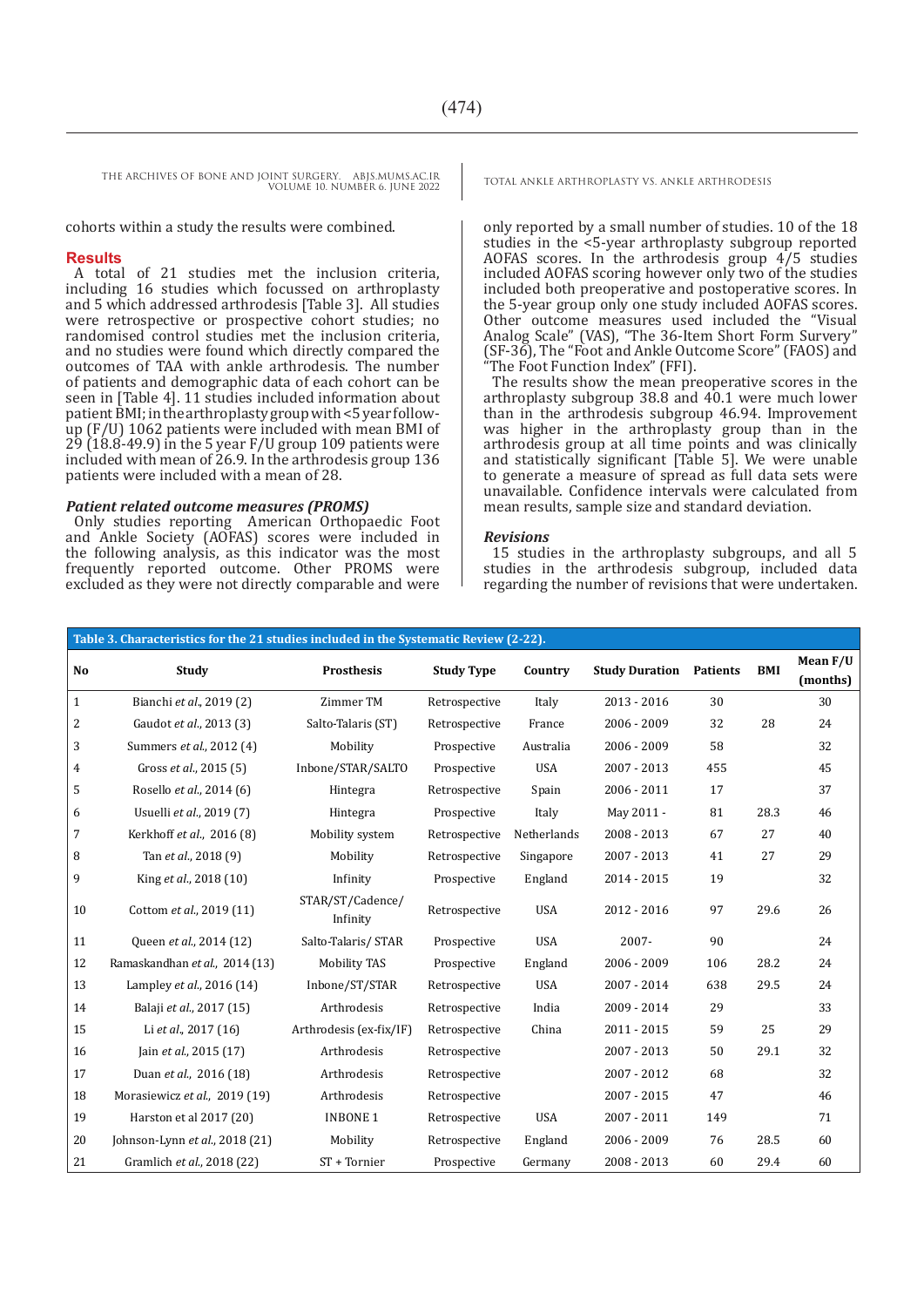cohorts within a study the results were combined.

#### **Results**

A total of 21 studies met the inclusion criteria, including 16 studies which focussed on arthroplasty and 5 which addressed arthrodesis [Table 3]. All studies were retrospective or prospective cohort studies; no randomised control studies met the inclusion criteria, and no studies were found which directly compared the outcomes of TAA with ankle arthrodesis. The number of patients and demographic data of each cohort can be seen in [Table 4]. 11 studies included information about patient BMI; in the arthroplasty group with <5 year followup (F/U) 1062 patients were included with mean BMI of  $29$  ( $18.8 - 49.9$ ) in the 5 year F/U group 109 patients were included with mean of 26.9. In the arthrodesis group 136 patients were included with a mean of 28.

#### *Patient related outcome measures (PROMS)*

Only studies reporting American Orthopaedic Foot and Ankle Society (AOFAS) scores were included in the following analysis, as this indicator was the most frequently reported outcome. Other PROMS were excluded as they were not directly comparable and were

only reported by a small number of studies. 10 of the 18 studies in the <5-year arthroplasty subgroup reported AOFAS scores. In the arthrodesis group 4/5 studies included AOFAS scoring however only two of the studies included both preoperative and postoperative scores. In the 5-year group only one study included AOFAS scores. Other outcome measures used included the "Visual Analog Scale" (VAS), "The 36-Item Short Form Survery" (SF-36), The "Foot and Ankle Outcome Score" (FAOS) and The Foot Function Index" (FFI).

The results show the mean preoperative scores in the arthroplasty subgroup 38.8 and 40.1 were much lower than in the arthrodesis subgroup 46.94. Improvement was higher in the arthroplasty group than in the arthrodesis group at all time points and was clinically and statistically significant [Table 5]. We were unable to generate a measure of spread as full data sets were unavailable. Confidence intervals were calculated from mean results, sample size and standard deviation.

#### *Revisions*

15 studies in the arthroplasty subgroups, and all 5 studies in the arthrodesis subgroup, included data regarding the number of revisions that were undertaken.

|             | Table 3. Characteristics for the 21 studies included in the Systematic Review (2-22). |                              |                   |             |                                |     |      |          |  |  |
|-------------|---------------------------------------------------------------------------------------|------------------------------|-------------------|-------------|--------------------------------|-----|------|----------|--|--|
| No          | Study                                                                                 | <b>Prosthesis</b>            | <b>Study Type</b> | Country     | <b>Study Duration Patients</b> |     | BMI  | Mean F/U |  |  |
|             |                                                                                       |                              |                   |             |                                |     |      | (months) |  |  |
| $\mathbf 1$ | Bianchi et al., 2019 (2)                                                              | Zimmer TM                    | Retrospective     | Italy       | $2013 - 2016$                  | 30  |      | 30       |  |  |
| 2           | Gaudot et al., 2013 (3)                                                               | Salto-Talaris (ST)           | Retrospective     | France      | 2006 - 2009                    | 32  | 28   | 24       |  |  |
| 3           | Summers et al., 2012 (4)                                                              | Mobility                     | Prospective       | Australia   | 2006 - 2009                    | 58  |      | 32       |  |  |
| 4           | Gross et al., 2015 (5)                                                                | Inbone/STAR/SALTO            | Prospective       | <b>USA</b>  | 2007 - 2013                    | 455 |      | 45       |  |  |
| 5           | Rosello et al., 2014 (6)                                                              | Hintegra                     | Retrospective     | Spain       | $2006 - 2011$                  | 17  |      | 37       |  |  |
| 6           | Usuelli et al., 2019 (7)                                                              | Hintegra                     | Prospective       | Italy       | May 2011 -                     | 81  | 28.3 | 46       |  |  |
| 7           | Kerkhoff et al., 2016 (8)                                                             | Mobility system              | Retrospective     | Netherlands | 2008 - 2013                    | 67  | 27   | 40       |  |  |
| 8           | Tan et al., 2018 (9)                                                                  | Mobility                     | Retrospective     | Singapore   | 2007 - 2013                    | 41  | 27   | 29       |  |  |
| 9           | King et al., 2018 (10)                                                                | Infinity                     | Prospective       | England     | 2014 - 2015                    | 19  |      | 32       |  |  |
| 10          | Cottom et al., 2019 (11)                                                              | STAR/ST/Cadence/<br>Infinity | Retrospective     | <b>USA</b>  | 2012 - 2016                    | 97  | 29.6 | 26       |  |  |
| 11          | Queen et al., 2014 (12)                                                               | Salto-Talaris/ STAR          | Prospective       | <b>USA</b>  | 2007-                          | 90  |      | 24       |  |  |
| 12          | Ramaskandhan et al., 2014 (13)                                                        | <b>Mobility TAS</b>          | Prospective       | England     | 2006 - 2009                    | 106 | 28.2 | 24       |  |  |
| 13          | Lampley et al., 2016 (14)                                                             | Inbone/ST/STAR               | Retrospective     | <b>USA</b>  | $2007 - 2014$                  | 638 | 29.5 | 24       |  |  |
| 14          | Balaji et al., 2017 (15)                                                              | Arthrodesis                  | Retrospective     | India       | 2009 - 2014                    | 29  |      | 33       |  |  |
| 15          | Li et al., 2017 (16)                                                                  | Arthrodesis (ex-fix/IF)      | Retrospective     | China       | $2011 - 2015$                  | 59  | 25   | 29       |  |  |
| 16          | Jain et al., 2015 (17)                                                                | Arthrodesis                  | Retrospective     |             | 2007 - 2013                    | 50  | 29.1 | 32       |  |  |
| 17          | Duan et al., 2016 (18)                                                                | Arthrodesis                  | Retrospective     |             | $2007 - 2012$                  | 68  |      | 32       |  |  |
| 18          | Morasiewicz et al., 2019 (19)                                                         | Arthrodesis                  | Retrospective     |             | $2007 - 2015$                  | 47  |      | 46       |  |  |
| 19          | Harston et al 2017 (20)                                                               | <b>INBONE 1</b>              | Retrospective     | <b>USA</b>  | 2007 - 2011                    | 149 |      | 71       |  |  |
| 20          | Johnson-Lynn et al., 2018 (21)                                                        | Mobility                     | Retrospective     | England     | 2006 - 2009                    | 76  | 28.5 | 60       |  |  |
| 21          | Gramlich et al., 2018 (22)                                                            | ST + Tornier                 | Prospective       | Germany     | $2008 - 2013$                  | 60  | 29.4 | 60       |  |  |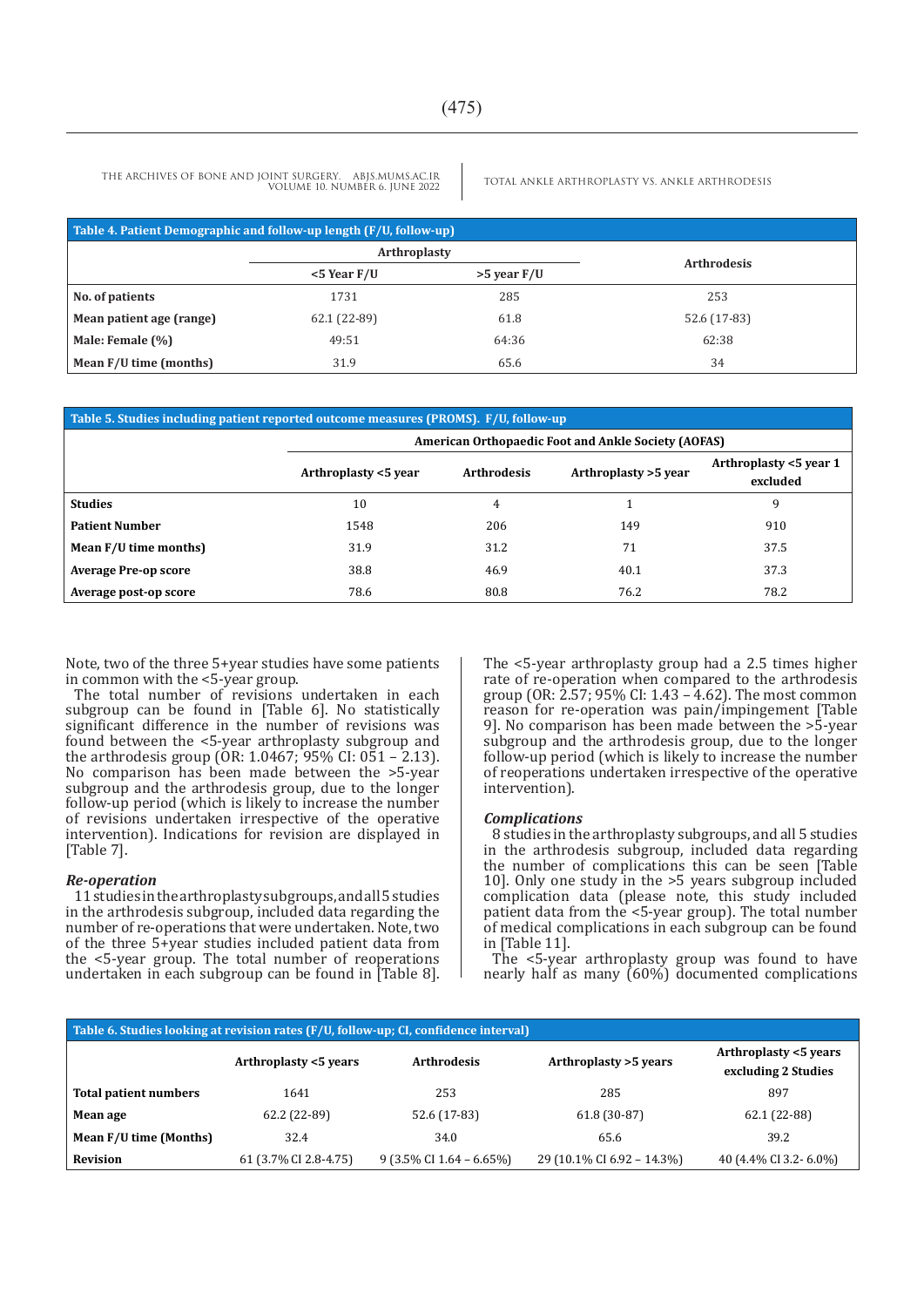| Table 4. Patient Demographic and follow-up length (F/U, follow-up) |                     |             |                    |  |  |  |
|--------------------------------------------------------------------|---------------------|-------------|--------------------|--|--|--|
|                                                                    | <b>Arthroplasty</b> |             |                    |  |  |  |
|                                                                    | $<$ 5 Year F/U      | >5 year F/U | <b>Arthrodesis</b> |  |  |  |
| No. of patients                                                    | 1731                | 285         | 253                |  |  |  |
| Mean patient age (range)                                           | 62.1 (22-89)        | 61.8        | 52.6 (17-83)       |  |  |  |
| Male: Female (%)                                                   | 49:51               | 64:36       | 62:38              |  |  |  |
| Mean F/U time (months)                                             | 31.9                | 65.6        | 34                 |  |  |  |

| Table 5. Studies including patient reported outcome measures (PROMS). F/U, follow-up |                                                            |                    |                      |                                    |  |  |  |
|--------------------------------------------------------------------------------------|------------------------------------------------------------|--------------------|----------------------|------------------------------------|--|--|--|
|                                                                                      | <b>American Orthopaedic Foot and Ankle Society (AOFAS)</b> |                    |                      |                                    |  |  |  |
|                                                                                      | Arthroplasty <5 year                                       | <b>Arthrodesis</b> | Arthroplasty >5 year | Arthroplasty <5 year 1<br>excluded |  |  |  |
| <b>Studies</b>                                                                       | 10                                                         | 4                  |                      | 9                                  |  |  |  |
| <b>Patient Number</b>                                                                | 1548                                                       | 206                | 149                  | 910                                |  |  |  |
| Mean F/U time months)                                                                | 31.9                                                       | 31.2               | 71                   | 37.5                               |  |  |  |
| <b>Average Pre-op score</b>                                                          | 38.8                                                       | 46.9               | 40.1                 | 37.3                               |  |  |  |
| Average post-op score                                                                | 78.6                                                       | 80.8               | 76.2                 | 78.2                               |  |  |  |

Note, two of the three 5+year studies have some patients in common with the <5-year group.

The total number of revisions undertaken in each subgroup can be found in [Table 6]. No statistically significant difference in the number of revisions was found between the <5-year arthroplasty subgroup and the arthrodesis group (OR: 1.0467; 95% CI: 051 – 2.13). No comparison has been made between the >5-year subgroup and the arthrodesis group, due to the longer follow-up period (which is likely to increase the number of revisions undertaken irrespective of the operative intervention). Indications for revision are displayed in [Table 7].

#### *Re-operation*

11 studies in the arthroplasty subgroups, and all 5 studies in the arthrodesis subgroup, included data regarding the number of re-operations that were undertaken. Note, two of the three 5+year studies included patient data from the <5-year group. The total number of reoperations undertaken in each subgroup can be found in [Table 8]. The <5-year arthroplasty group had a 2.5 times higher rate of re-operation when compared to the arthrodesis group (OR: 2.57; 95% CI: 1.43 – 4.62). The most common reason for re-operation was pain/impingement [Table 9]. No comparison has been made between the >5-year subgroup and the arthrodesis group, due to the longer follow-up period (which is likely to increase the number of reoperations undertaken irrespective of the operative intervention).

#### *Complications*

8 studies in the arthroplasty subgroups, and all 5 studies in the arthrodesis subgroup, included data regarding the number of complications this can be seen [Table 10]. Only one study in the >5 years subgroup included complication data (please note, this study included patient data from the <5-year group). The total number of medical complications in each subgroup can be found in [Table 11].

The <5-year arthroplasty group was found to have nearly half as many (60%) documented complications

| Table 6. Studies looking at revision rates (F/U, follow-up; CI, confidence interval) |                       |                                      |                            |                                              |  |  |  |  |
|--------------------------------------------------------------------------------------|-----------------------|--------------------------------------|----------------------------|----------------------------------------------|--|--|--|--|
|                                                                                      | Arthroplasty <5 years | <b>Arthrodesis</b>                   | Arthroplasty > 5 years     | Arthroplasty <5 years<br>excluding 2 Studies |  |  |  |  |
| Total patient numbers                                                                | 1641                  | 253                                  | 285                        | 897                                          |  |  |  |  |
| Mean age                                                                             | 62.2 (22-89)          | 52.6 (17-83)                         | 61.8 (30-87)               | 62.1 (22-88)                                 |  |  |  |  |
| Mean F/U time (Months)                                                               | 32.4                  | 34.0                                 | 65.6                       | 39.2                                         |  |  |  |  |
| <b>Revision</b>                                                                      | 61 (3.7% CI 2.8-4.75) | $9(3.5\% \text{ CI } 1.64 - 6.65\%)$ | 29 (10.1% CI 6.92 - 14.3%) | 40 (4.4% CI 3.2 - 6.0%)                      |  |  |  |  |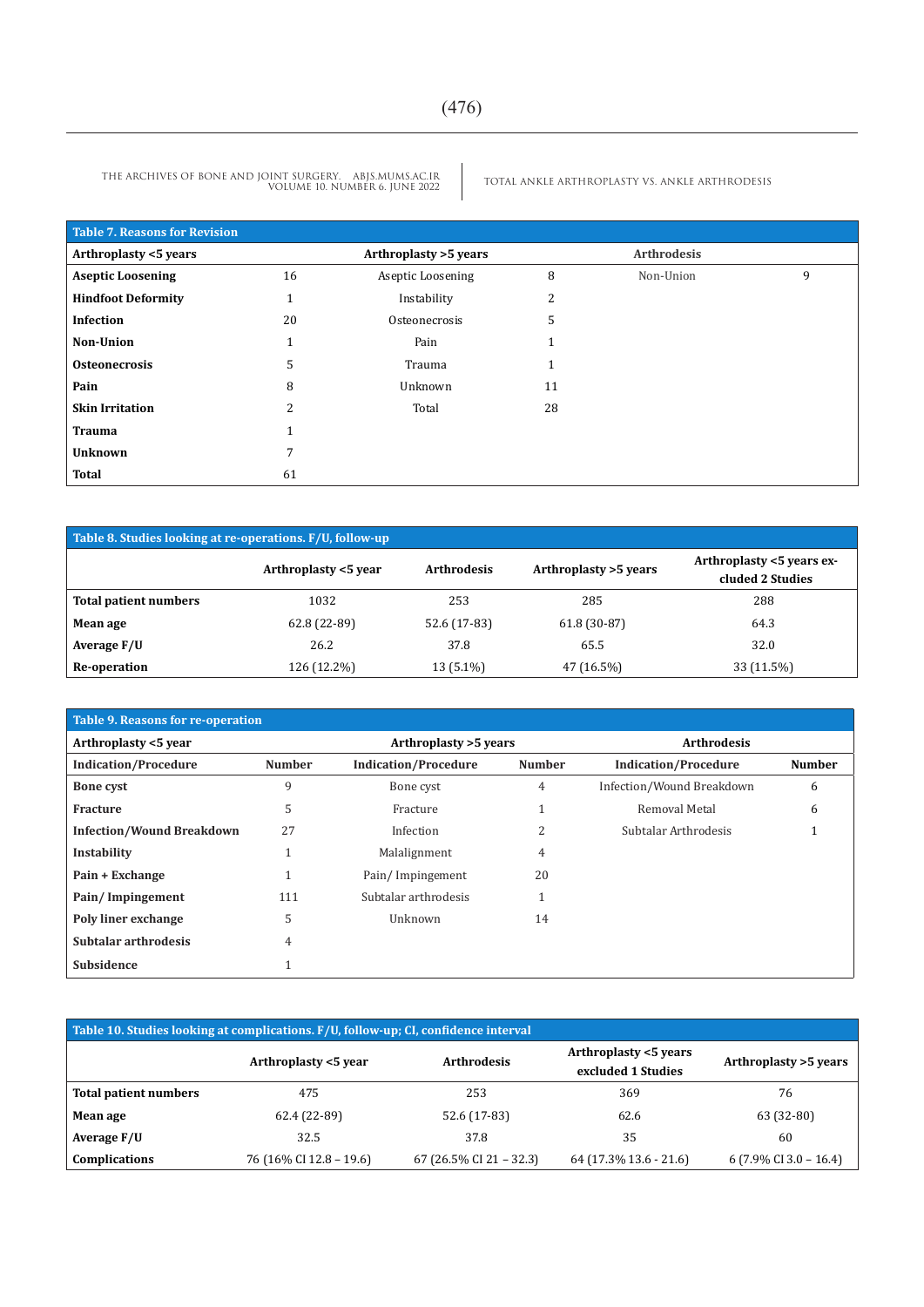| Table 7. Reasons for Revision |                |                       |              |                    |   |
|-------------------------------|----------------|-----------------------|--------------|--------------------|---|
| Arthroplasty <5 years         |                | Arthroplasty >5 years |              | <b>Arthrodesis</b> |   |
| <b>Aseptic Loosening</b>      | 16             | Aseptic Loosening     | 8            | Non-Union          | 9 |
| <b>Hindfoot Deformity</b>     |                | Instability           | 2            |                    |   |
| Infection                     | 20             | Osteonecrosis         | 5            |                    |   |
| <b>Non-Union</b>              |                | Pain                  | $\mathbf{1}$ |                    |   |
| <b>Osteonecrosis</b>          | 5              | Trauma                | 1            |                    |   |
| Pain                          | 8              | Unknown               | 11           |                    |   |
| <b>Skin Irritation</b>        | $\overline{c}$ | Total                 | 28           |                    |   |
| Trauma                        |                |                       |              |                    |   |
| <b>Unknown</b>                | 7              |                       |              |                    |   |
| <b>Total</b>                  | 61             |                       |              |                    |   |

| Table 8. Studies looking at re-operations. F/U, follow-up |                      |                    |                        |                                               |  |  |  |
|-----------------------------------------------------------|----------------------|--------------------|------------------------|-----------------------------------------------|--|--|--|
|                                                           | Arthroplasty <5 year | <b>Arthrodesis</b> | Arthroplasty > 5 years | Arthroplasty <5 years ex-<br>cluded 2 Studies |  |  |  |
| Total patient numbers                                     | 1032                 | 253                | 285                    | 288                                           |  |  |  |
| Mean age                                                  | 62.8 (22-89)         | 52.6 (17-83)       | $61.8(30-87)$          | 64.3                                          |  |  |  |
| Average F/U                                               | 26.2                 | 37.8               | 65.5                   | 32.0                                          |  |  |  |
| Re-operation                                              | 126 (12.2%)          | 13 (5.1%)          | 47 (16.5%)             | 33 (11.5%)                                    |  |  |  |

| Table 9. Reasons for re-operation |               |                             |                        |                             |                    |  |
|-----------------------------------|---------------|-----------------------------|------------------------|-----------------------------|--------------------|--|
| Arthroplasty <5 year              |               |                             | Arthroplasty > 5 years |                             | <b>Arthrodesis</b> |  |
| <b>Indication/Procedure</b>       | <b>Number</b> | <b>Indication/Procedure</b> | <b>Number</b>          | <b>Indication/Procedure</b> | <b>Number</b>      |  |
| <b>Bone cyst</b>                  | 9             | Bone cyst                   | 4                      | Infection/Wound Breakdown   | 6                  |  |
| Fracture                          | 5             | Fracture                    |                        | Removal Metal               | 6                  |  |
| <b>Infection/Wound Breakdown</b>  | 27            | Infection                   |                        | Subtalar Arthrodesis        |                    |  |
| Instability                       |               | Malalignment                | 4                      |                             |                    |  |
| Pain + Exchange                   |               | Pain/Impingement            | 20                     |                             |                    |  |
| Pain/Impingement                  | 111           | Subtalar arthrodesis        |                        |                             |                    |  |
| Poly liner exchange               | 5             | Unknown                     | 14                     |                             |                    |  |
| Subtalar arthrodesis              | 4             |                             |                        |                             |                    |  |
| Subsidence                        |               |                             |                        |                             |                    |  |

| Table 10. Studies looking at complications. F/U, follow-up; CI, confidence interval |                         |                         |                                             |                                   |  |  |  |  |
|-------------------------------------------------------------------------------------|-------------------------|-------------------------|---------------------------------------------|-----------------------------------|--|--|--|--|
|                                                                                     | Arthroplasty <5 year    | <b>Arthrodesis</b>      | Arthroplasty <5 years<br>excluded 1 Studies | Arthroplasty >5 years             |  |  |  |  |
| Total patient numbers                                                               | 475                     | 253                     | 369                                         | 76                                |  |  |  |  |
| Mean age                                                                            | 62.4 (22-89)            | 52.6 (17-83)            | 62.6                                        | 63 (32-80)                        |  |  |  |  |
| Average F/U                                                                         | 32.5                    | 37.8                    | 35                                          | 60                                |  |  |  |  |
| Complications                                                                       | 76 (16% CI 12.8 – 19.6) | 67 (26.5% CI 21 – 32.3) | 64 (17.3% 13.6 - 21.6)                      | $6(7.9\% \text{ CI } 3.0 - 16.4)$ |  |  |  |  |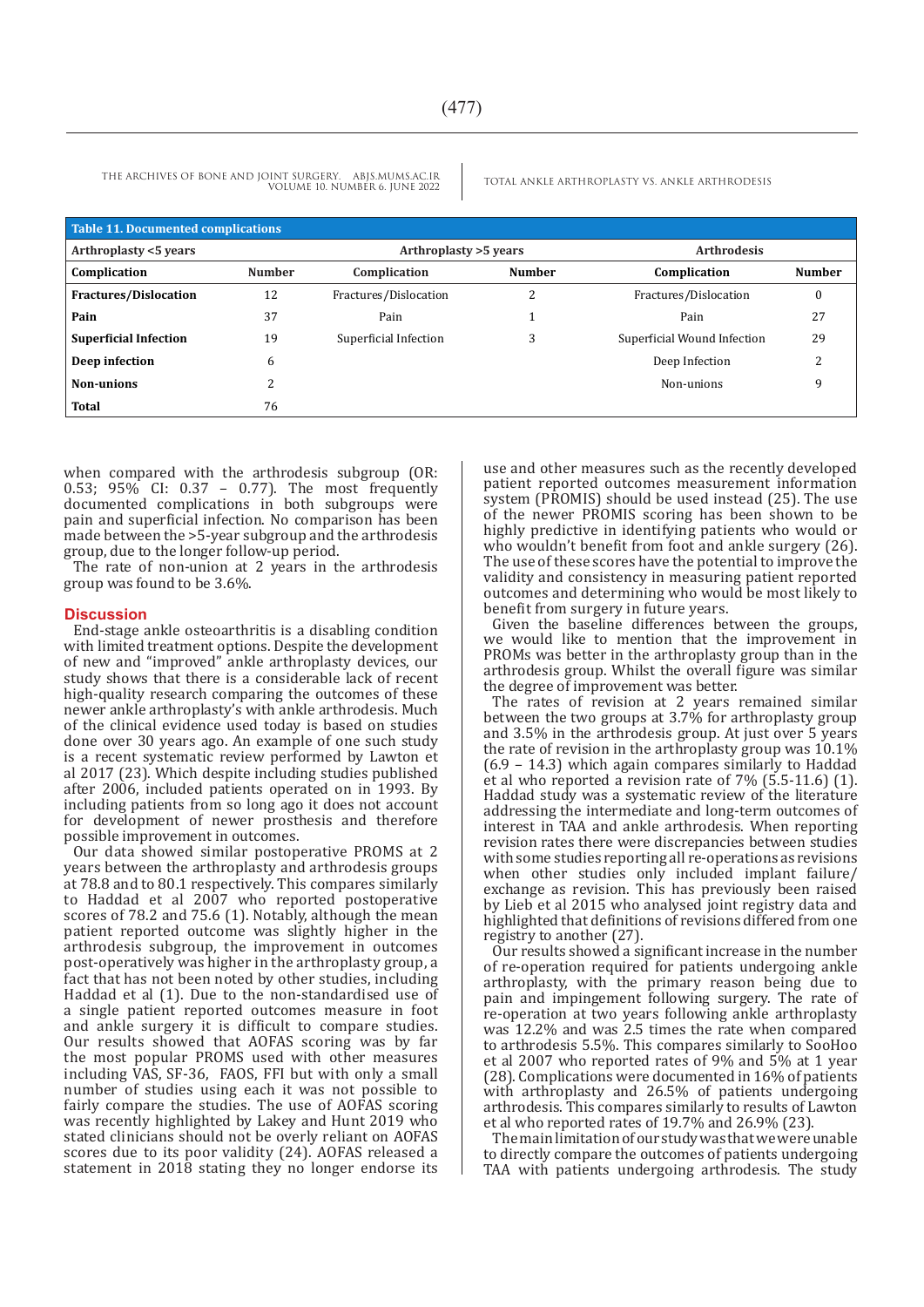| <b>Table 11. Documented complications</b> |               |                        |               |                             |               |  |  |
|-------------------------------------------|---------------|------------------------|---------------|-----------------------------|---------------|--|--|
| Arthroplasty <5 years                     |               | Arthroplasty > 5 years |               | <b>Arthrodesis</b>          |               |  |  |
| Complication                              | <b>Number</b> | Complication           | <b>Number</b> | Complication                | <b>Number</b> |  |  |
| <b>Fractures/Dislocation</b>              | 12            | Fractures/Dislocation  | 2             | Fractures/Dislocation       | $\bf{0}$      |  |  |
| Pain                                      | 37            | Pain                   |               | Pain                        | 27            |  |  |
| <b>Superficial Infection</b>              | 19            | Superficial Infection  | 3             | Superficial Wound Infection | 29            |  |  |
| Deep infection                            | 6             |                        |               | Deep Infection              | n.            |  |  |
| Non-unions                                |               |                        |               | Non-unions                  | 9             |  |  |
| Total                                     | 76            |                        |               |                             |               |  |  |

when compared with the arthrodesis subgroup (OR: 0.53; 95% CI: 0.37 – 0.77). The most frequently documented complications in both subgroups were pain and superficial infection. No comparison has been made between the >5-year subgroup and the arthrodesis group, due to the longer follow-up period.

The rate of non-union at 2 years in the arthrodesis group was found to be 3.6%.

#### **Discussion**

End-stage ankle osteoarthritis is a disabling condition with limited treatment options. Despite the development of new and "improved" ankle arthroplasty devices, our study shows that there is a considerable lack of recent high-quality research comparing the outcomes of these newer ankle arthroplasty's with ankle arthrodesis. Much of the clinical evidence used today is based on studies done over 30 years ago. An example of one such study is a recent systematic review performed by Lawton et al 2017 (23). Which despite including studies published after 2006, included patients operated on in 1993. By including patients from so long ago it does not account for development of newer prosthesis and therefore possible improvement in outcomes.

Our data showed similar postoperative PROMS at 2 years between the arthroplasty and arthrodesis groups at 78.8 and to 80.1 respectively. This compares similarly to Haddad et al 2007 who reported postoperative scores of 78.2 and 75.6 (1). Notably, although the mean patient reported outcome was slightly higher in the arthrodesis subgroup, the improvement in outcomes post-operatively was higher in the arthroplasty group, a fact that has not been noted by other studies, including Haddad et al (1). Due to the non-standardised use of a single patient reported outcomes measure in foot and ankle surgery it is difficult to compare studies. Our results showed that AOFAS scoring was by far the most popular PROMS used with other measures including VAS, SF-36, FAOS, FFI but with only a small number of studies using each it was not possible to fairly compare the studies. The use of AOFAS scoring was recently highlighted by Lakey and Hunt 2019 who stated clinicians should not be overly reliant on AOFAS scores due to its poor validity (24). AOFAS released a statement in 2018 stating they no longer endorse its use and other measures such as the recently developed patient reported outcomes measurement information system (PROMIS) should be used instead (25). The use of the newer PROMIS scoring has been shown to be highly predictive in identifying patients who would or who wouldn't benefit from foot and ankle surgery (26). The use of these scores have the potential to improve the validity and consistency in measuring patient reported outcomes and determining who would be most likely to benefit from surgery in future years.

Given the baseline differences between the groups, we would like to mention that the improvement in PROMs was better in the arthroplasty group than in the arthrodesis group. Whilst the overall figure was similar the degree of improvement was better.

The rates of revision at 2 years remained similar between the two groups at 3.7% for arthroplasty group and 3.5% in the arthrodesis group. At just over 5 years the rate of revision in the arthroplasty group was 10.1% (6.9 – 14.3) which again compares similarly to Haddad et al who reported a revision rate of 7% (5.5-11.6) (1). Haddad study was a systematic review of the literature addressing the intermediate and long-term outcomes of interest in TAA and ankle arthrodesis. When reporting revision rates there were discrepancies between studies with some studies reporting all re-operations as revisions when other studies only included implant failure/ exchange as revision. This has previously been raised by Lieb et al 2015 who analysed joint registry data and highlighted that definitions of revisions differed from one registry to another (27).

Our results showed a significant increase in the number of re-operation required for patients undergoing ankle arthroplasty, with the primary reason being due to pain and impingement following surgery. The rate of re-operation at two years following ankle arthroplasty was 12.2% and was 2.5 times the rate when compared to arthrodesis 5.5%. This compares similarly to SooHoo et al 2007 who reported rates of 9% and 5% at 1 year (28). Complications were documented in 16% of patients with arthroplasty and 26.5% of patients undergoing arthrodesis. This compares similarly to results of Lawton et al who reported rates of 19.7% and 26.9% (23).

The main limitation of our study was that we were unable to directly compare the outcomes of patients undergoing TAA with patients undergoing arthrodesis. The study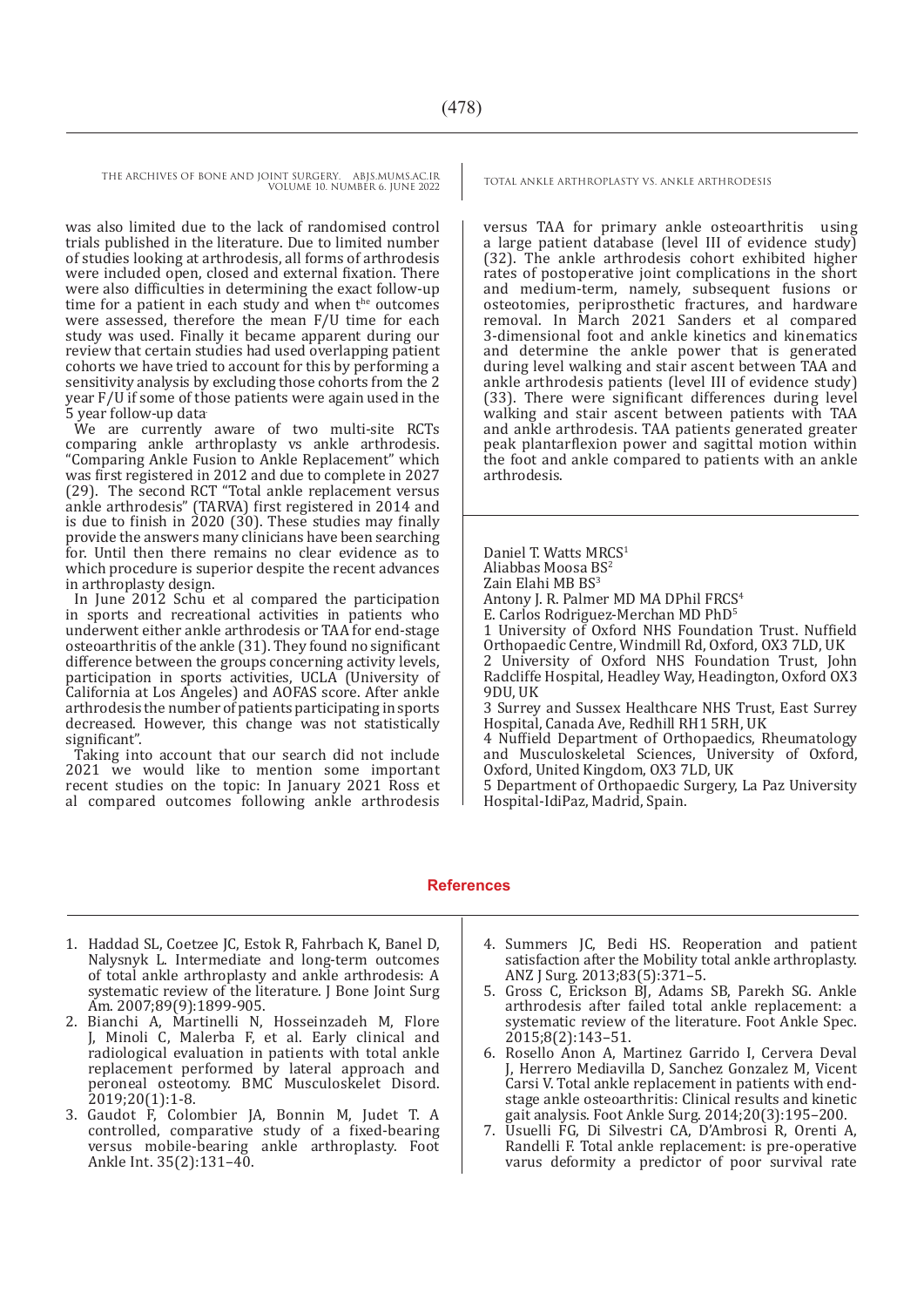> was also limited due to the lack of randomised control trials published in the literature. Due to limited number of studies looking at arthrodesis, all forms of arthrodesis were included open, closed and external fixation. There were also difficulties in determining the exact follow-up time for a patient in each study and when  $t^{\text{he}}$  outcomes were assessed, therefore the mean F/U time for each study was used. Finally it became apparent during our review that certain studies had used overlapping patient cohorts we have tried to account for this by performing a sensitivity analysis by excluding those cohorts from the 2 year F/U if some of those patients were again used in the 5 year follow-up data.

> We are currently aware of two multi-site RCTs comparing ankle arthroplasty vs ankle arthrodesis. "Comparing Ankle Fusion to Ankle Replacement" which was first registered in 2012 and due to complete in 2027 (29). The second RCT "Total ankle replacement versus ankle arthrodesis" (TARVA) first registered in 2014 and is due to finish in 2020 (30). These studies may finally provide the answers many clinicians have been searching for. Until then there remains no clear evidence as to which procedure is superior despite the recent advances in arthroplasty design.

> In June 2012 Schu et al compared the participation in sports and recreational activities in patients who underwent either ankle arthrodesis or TAA for end-stage osteoarthritis of the ankle (31). They found no significant difference between the groups concerning activity levels, participation in sports activities, UCLA (University of California at Los Angeles) and AOFAS score. After ankle arthrodesis the number of patients participating in sports decreased. However, this change was not statistically significant".

> Taking into account that our search did not include 2021 we would like to mention some important recent studies on the topic: In January 2021 Ross et al compared outcomes following ankle arthrodesis

versus TAA for primary ankle osteoarthritis using a large patient database (level III of evidence study) (32). The ankle arthrodesis cohort exhibited higher rates of postoperative joint complications in the short and medium-term, namely, subsequent fusions or osteotomies, periprosthetic fractures, and hardware removal. In March 2021 Sanders et al compared 3-dimensional foot and ankle kinetics and kinematics and determine the ankle power that is generated during level walking and stair ascent between TAA and ankle arthrodesis patients (level III of evidence study) (33). There were significant differences during level walking and stair ascent between patients with TAA and ankle arthrodesis. TAA patients generated greater peak plantarflexion power and sagittal motion within the foot and ankle compared to patients with an ankle arthrodesis.

Daniel T. Watts MRCS<sup>1</sup> Aliabbas Moosa BS<sup>2</sup> Zain Elahi MB BS<sup>3</sup> Antony J. R. Palmer MD MA DPhil FRCS<sup>4</sup> E. Carlos Rodriguez-Merchan MD PhD5 1 University of Oxford NHS Foundation Trust. Nuffield Orthopaedic Centre, Windmill Rd, Oxford, OX3 7LD, UK 2 University of Oxford NHS Foundation Trust, John Radcliffe Hospital, Headley Way, Headington, Oxford OX3 9DU, UK 3 Surrey and Sussex Healthcare NHS Trust, East Surrey Hospital, Canada Ave, Redhill RH1 5RH, UK

4 Nuffield Department of Orthopaedics, Rheumatology and Musculoskeletal Sciences, University of Oxford, Oxford, United Kingdom, OX3 7LD, UK

5 Department of Orthopaedic Surgery, La Paz University Hospital-IdiPaz, Madrid, Spain.

#### **References**

- 1. Haddad SL, Coetzee JC, Estok R, Fahrbach K, Banel D, Nalysnyk L. Intermediate and long-term outcomes of total ankle arthroplasty and ankle arthrodesis: A systematic review of the literature. J Bone Joint Surg Am. 2007;89(9):1899-905.
- 2. Bianchi A, Martinelli N, Hosseinzadeh M, Flore J, Minoli C, Malerba F, et al. Early clinical and radiological evaluation in patients with total ankle replacement performed by lateral approach and peroneal osteotomy. BMC Musculoskelet Disord. 2019;20(1):1-8.
- 3. Gaudot F, Colombier JA, Bonnin M, Judet T. A controlled, comparative study of a fixed-bearing versus mobile-bearing ankle arthroplasty. Foot Ankle Int. 35(2):131–40.
- 4. Summers JC, Bedi HS. Reoperation and patient satisfaction after the Mobility total ankle arthroplasty. ANZ J Surg. 2013;83(5):371–5.
- 5. Gross C, Erickson BJ, Adams SB, Parekh SG. Ankle arthrodesis after failed total ankle replacement: a systematic review of the literature. Foot Ankle Spec. 2015;8(2):143–51.
- 6. Rosello Anon A, Martinez Garrido I, Cervera Deval J, Herrero Mediavilla D, Sanchez Gonzalez M, Vicent Carsi V. Total ankle replacement in patients with endstage ankle osteoarthritis: Clinical results and kinetic gait analysis. Foot Ankle Surg. 2014;20(3):195–200.
- 7. Usuelli FG, Di Silvestri CA, D'Ambrosi R, Orenti A, Randelli F. Total ankle replacement: is pre-operative varus deformity a predictor of poor survival rate